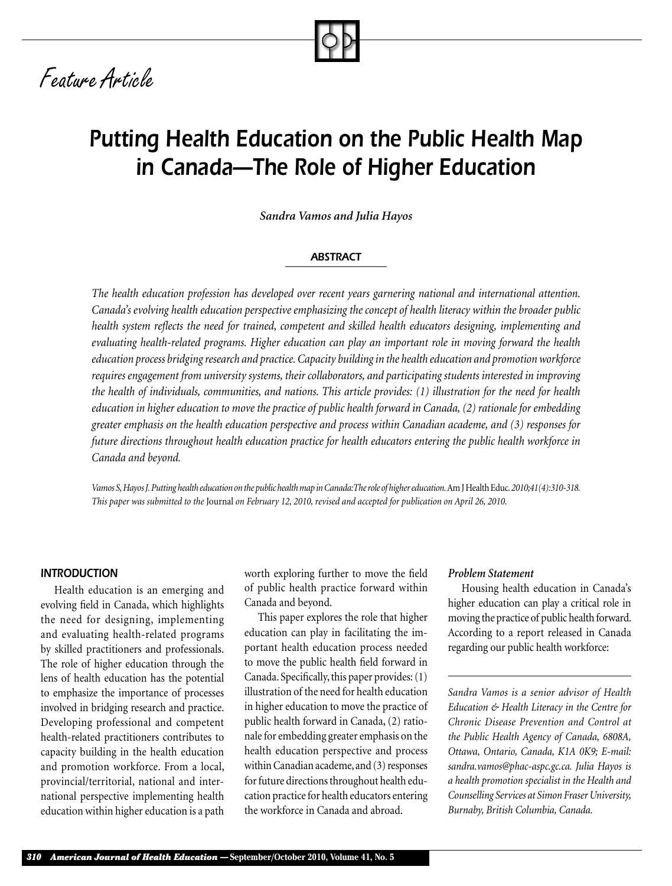# *Feature Article*

# *putting Health Education on the public Health map in Canada—the role of Higher Education*

*Sandra Vamos and Julia Hayos*

#### *ABSTRACT*

*The health education profession has developed over recent years garnering national and international attention. Canada's evolving health education perspective emphasizing the concept of health literacy within the broader public health system reflects the need for trained, competent and skilled health educators designing, implementing and evaluating health-related programs. Higher education can play an important role in moving forward the health education process bridging research and practice. Capacity building in the health education and promotion workforce requires engagement from university systems, their collaborators, and participating students interested in improving the health of individuals, communities, and nations. This article provides: (1) illustration for the need for health education in higher education to move the practice of public health forward in Canada, (2) rationale for embedding greater emphasis on the health education perspective and process within Canadian academe, and (3) responses for future directions throughout health education practice for health educators entering the public health workforce in Canada and beyond.*

Vamos S, Hayos J. Putting health education on the public health map in Canada:The role of higher education. Am J Health Educ. 2010;41(4):310-318. *This paper was submitted to the* Journal *on February 12, 2010, revised and accepted for publication on April 26, 2010.*

# *introdUCtion*

Health education is an emerging and evolving field in Canada, which highlights the need for designing, implementing and evaluating health-related programs by skilled practitioners and professionals. The role of higher education through the lens of health education has the potential to emphasize the importance of processes involved in bridging research and practice. Developing professional and competent health-related practitioners contributes to capacity building in the health education and promotion workforce. From a local, provincial/territorial, national and international perspective implementing health education within higher education is a path

worth exploring further to move the field of public health practice forward within Canada and beyond.

This paper explores the role that higher education can play in facilitating the important health education process needed to move the public health field forward in Canada. Specifically, this paper provides: (1) illustration of the need for health education in higher education to move the practice of public health forward in Canada, (2) rationale for embedding greater emphasis on the health education perspective and process within Canadian academe, and (3) responses for future directions throughout health education practice for health educators entering the workforce in Canada and abroad.

#### *Problem Statement*

Housing health education in Canada's higher education can play a critical role in moving the practice of public health forward. According to a report released in Canada regarding our public health workforce:

*Sandra Vamos is a senior advisor of Health Education & Health Literacy in the Centre for Chronic Disease Prevention and Control at the Public Health Agency of Canada, 6808A, Ottawa, Ontario, Canada, K1A 0K9; E-mail: sandra.vamos@phac-aspc.gc.ca. Julia Hayos is a health promotion specialist in the Health and Counselling Services at Simon Fraser University, Burnaby, British Columbia, Canada.*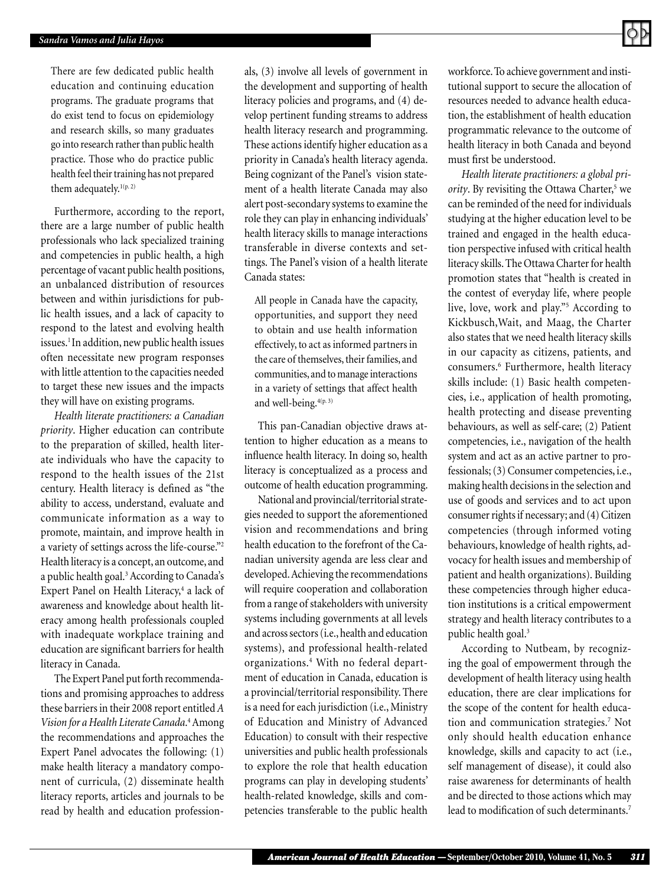There are few dedicated public health education and continuing education programs. The graduate programs that do exist tend to focus on epidemiology and research skills, so many graduates go into research rather than public health practice. Those who do practice public health feel their training has not prepared them adequately. $1(p, 2)$ 

Furthermore, according to the report, there are a large number of public health professionals who lack specialized training and competencies in public health, a high percentage of vacant public health positions, an unbalanced distribution of resources between and within jurisdictions for public health issues, and a lack of capacity to respond to the latest and evolving health issues.<sup>1</sup> In addition, new public health issues often necessitate new program responses with little attention to the capacities needed to target these new issues and the impacts they will have on existing programs.

*Health literate practitioners: a Canadian priority*. Higher education can contribute to the preparation of skilled, health literate individuals who have the capacity to respond to the health issues of the 21st century. Health literacy is defined as "the ability to access, understand, evaluate and communicate information as a way to promote, maintain, and improve health in a variety of settings across the life-course."2 Health literacy is a concept, an outcome, and a public health goal.3 According to Canada's Expert Panel on Health Literacy,<sup>4</sup> a lack of awareness and knowledge about health literacy among health professionals coupled with inadequate workplace training and education are significant barriers for health literacy in Canada.

The Expert Panel put forth recommendations and promising approaches to address these barriers in their 2008 report entitled *A Vision for a Health Literate Canada*. 4 Among the recommendations and approaches the Expert Panel advocates the following: (1) make health literacy a mandatory component of curricula, (2) disseminate health literacy reports, articles and journals to be read by health and education professionals, (3) involve all levels of government in the development and supporting of health literacy policies and programs, and (4) develop pertinent funding streams to address health literacy research and programming. These actions identify higher education as a priority in Canada's health literacy agenda. being cognizant of the Panel's vision statement of a health literate Canada may also alert post-secondary systems to examine the role they can play in enhancing individuals' health literacy skills to manage interactions transferable in diverse contexts and settings. The Panel's vision of a health literate Canada states:

All people in Canada have the capacity, opportunities, and support they need to obtain and use health information effectively, to act as informed partners in the care of themselves, their families, and communities, and to manage interactions in a variety of settings that affect health and well-being.4(p. 3)

This pan-Canadian objective draws attention to higher education as a means to influence health literacy. In doing so, health literacy is conceptualized as a process and outcome of health education programming.

National and provincial/territorial strategies needed to support the aforementioned vision and recommendations and bring health education to the forefront of the Canadian university agenda are less clear and developed. Achieving the recommendations will require cooperation and collaboration from a range of stakeholders with university systems including governments at all levels and across sectors (i.e., health and education systems), and professional health-related organizations.4 With no federal department of education in Canada, education is a provincial/territorial responsibility. There is a need for each jurisdiction (i.e., Ministry of Education and Ministry of Advanced Education) to consult with their respective universities and public health professionals to explore the role that health education programs can play in developing students' health-related knowledge, skills and competencies transferable to the public health

workforce. To achieve government and institutional support to secure the allocation of resources needed to advance health education, the establishment of health education programmatic relevance to the outcome of health literacy in both Canada and beyond must first be understood.

*Health literate practitioners: a global pri*ority. By revisiting the Ottawa Charter,<sup>5</sup> we can be reminded of the need for individuals studying at the higher education level to be trained and engaged in the health education perspective infused with critical health literacy skills. The Ottawa Charter for health promotion states that "health is created in the contest of everyday life, where people live, love, work and play."5 According to Kickbusch,Wait, and Maag, the Charter also states that we need health literacy skills in our capacity as citizens, patients, and consumers.6 Furthermore, health literacy skills include: (1) Basic health competencies, i.e., application of health promoting, health protecting and disease preventing behaviours, as well as self-care; (2) Patient competencies, i.e., navigation of the health system and act as an active partner to professionals; (3) Consumer competencies, i.e., making health decisions in the selection and use of goods and services and to act upon consumer rights if necessary; and (4) Citizen competencies (through informed voting behaviours, knowledge of health rights, advocacy for health issues and membership of patient and health organizations). building these competencies through higher education institutions is a critical empowerment strategy and health literacy contributes to a public health goal.<sup>3</sup>

According to Nutbeam, by recognizing the goal of empowerment through the development of health literacy using health education, there are clear implications for the scope of the content for health education and communication strategies.7 Not only should health education enhance knowledge, skills and capacity to act (i.e., self management of disease), it could also raise awareness for determinants of health and be directed to those actions which may lead to modification of such determinants<sup>7</sup>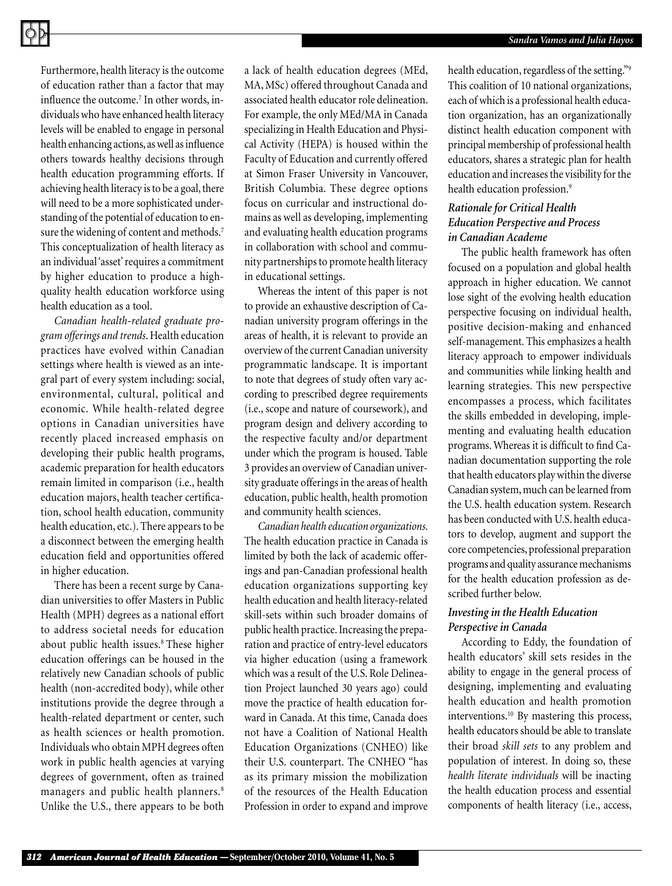Furthermore, health literacy is the outcome of education rather than a factor that may influence the outcome.<sup>7</sup> In other words, individuals who have enhanced health literacy levels will be enabled to engage in personal health enhancing actions, as well as influence others towards healthy decisions through health education programming efforts. If achieving health literacy is to be a goal, there will need to be a more sophisticated understanding of the potential of education to ensure the widening of content and methods.<sup>7</sup> This conceptualization of health literacy as an individual 'asset' requires a commitment by higher education to produce a highquality health education workforce using health education as a tool.

*Canadian health-related graduate program offerings and trends*. Health education practices have evolved within Canadian settings where health is viewed as an integral part of every system including: social, environmental, cultural, political and economic. While health-related degree options in Canadian universities have recently placed increased emphasis on developing their public health programs, academic preparation for health educators remain limited in comparison (i.e., health education majors, health teacher certification, school health education, community health education, etc.). There appears to be a disconnect between the emerging health education field and opportunities offered in higher education.

There has been a recent surge by Canadian universities to offer Masters in Public Health (MPH) degrees as a national effort to address societal needs for education about public health issues.<sup>8</sup> These higher education offerings can be housed in the relatively new Canadian schools of public health (non-accredited body), while other institutions provide the degree through a health-related department or center, such as health sciences or health promotion. Individuals who obtain MPH degrees often work in public health agencies at varying degrees of government, often as trained managers and public health planners.<sup>8</sup> Unlike the U.S., there appears to be both

a lack of health education degrees (MEd, MA, MSc) offered throughout Canada and associated health educator role delineation. For example, the only MEd/MA in Canada specializing in Health Education and Physical Activity (HEPA) is housed within the Faculty of Education and currently offered at Simon Fraser University in Vancouver, british Columbia. These degree options focus on curricular and instructional domains as well as developing, implementing and evaluating health education programs in collaboration with school and community partnerships to promote health literacy in educational settings.

Whereas the intent of this paper is not to provide an exhaustive description of Canadian university program offerings in the areas of health, it is relevant to provide an overview of the current Canadian university programmatic landscape. It is important to note that degrees of study often vary according to prescribed degree requirements (i.e., scope and nature of coursework), and program design and delivery according to the respective faculty and/or department under which the program is housed. Table 3 provides an overview of Canadian university graduate offerings in the areas of health education, public health, health promotion and community health sciences.

*Canadian health education organizations*. The health education practice in Canada is limited by both the lack of academic offerings and pan-Canadian professional health education organizations supporting key health education and health literacy-related skill-sets within such broader domains of public health practice. Increasing the preparation and practice of entry-level educators via higher education (using a framework which was a result of the U.S. Role Delineation Project launched 30 years ago) could move the practice of health education forward in Canada. At this time, Canada does not have a Coalition of National Health Education Organizations (CNHEO) like their U.S. counterpart. The CNHEO "has as its primary mission the mobilization of the resources of the Health Education Profession in order to expand and improve health education, regardless of the setting."9 This coalition of 10 national organizations, each of which is a professional health education organization, has an organizationally distinct health education component with principal membership of professional health educators, shares a strategic plan for health education and increases the visibility for the health education profession.<sup>9</sup>

# *Rationale for Critical Health Education Perspective and Process in Canadian Academe*

The public health framework has often focused on a population and global health approach in higher education. We cannot lose sight of the evolving health education perspective focusing on individual health, positive decision-making and enhanced self-management. This emphasizes a health literacy approach to empower individuals and communities while linking health and learning strategies. This new perspective encompasses a process, which facilitates the skills embedded in developing, implementing and evaluating health education programs. Whereas it is difficult to find Canadian documentation supporting the role that health educators play within the diverse Canadian system, much can be learned from the U.S. health education system. Research has been conducted with U.S. health educators to develop, augment and support the core competencies, professional preparation programs and quality assurance mechanisms for the health education profession as described further below.

# *Investing in the Health Education Perspective in Canada*

According to Eddy, the foundation of health educators' skill sets resides in the ability to engage in the general process of designing, implementing and evaluating health education and health promotion interventions.<sup>10</sup> By mastering this process, health educators should be able to translate their broad *skill sets* to any problem and population of interest. In doing so, these *health literate individuals* will be inacting the health education process and essential components of health literacy (i.e., access,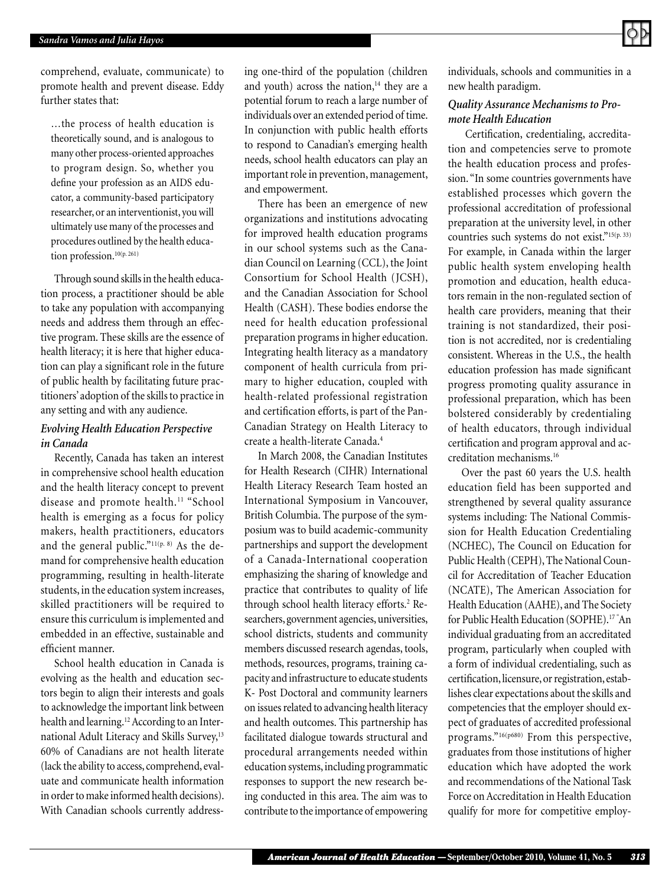comprehend, evaluate, communicate) to promote health and prevent disease. Eddy further states that:

…the process of health education is theoretically sound, and is analogous to many other process-oriented approaches to program design. So, whether you define your profession as an AIDS educator, a community-based participatory researcher, or an interventionist, you will ultimately use many of the processes and procedures outlined by the health education profession.10(p. 261)

Through sound skills in the health education process, a practitioner should be able to take any population with accompanying needs and address them through an effective program. These skills are the essence of health literacy; it is here that higher education can play a significant role in the future of public health by facilitating future practitioners' adoption of the skills to practice in any setting and with any audience.

## *Evolving Health Education Perspective in Canada*

Recently, Canada has taken an interest in comprehensive school health education and the health literacy concept to prevent disease and promote health.<sup>11</sup> "School health is emerging as a focus for policy makers, health practitioners, educators and the general public."<sup>11(p. 8)</sup> As the demand for comprehensive health education programming, resulting in health-literate students, in the education system increases, skilled practitioners will be required to ensure this curriculum is implemented and embedded in an effective, sustainable and efficient manner.

School health education in Canada is evolving as the health and education sectors begin to align their interests and goals to acknowledge the important link between health and learning.<sup>12</sup> According to an International Adult Literacy and Skills Survey,<sup>13</sup> 60% of Canadians are not health literate (lack the ability to access, comprehend, evaluate and communicate health information in order to make informed health decisions). With Canadian schools currently addressing one-third of the population (children and youth) across the nation, $14$  they are a potential forum to reach a large number of individuals over an extended period of time. In conjunction with public health efforts to respond to Canadian's emerging health needs, school health educators can play an important role in prevention, management, and empowerment.

There has been an emergence of new organizations and institutions advocating for improved health education programs in our school systems such as the Canadian Council on Learning (CCL), the Joint Consortium for School Health (JCSH), and the Canadian Association for School Health (CASH). These bodies endorse the need for health education professional preparation programs in higher education. Integrating health literacy as a mandatory component of health curricula from primary to higher education, coupled with health-related professional registration and certification efforts, is part of the Pan-Canadian Strategy on Health Literacy to create a health-literate Canada.4

In March 2008, the Canadian Institutes for Health Research (CIHR) International Health Literacy Research Team hosted an International Symposium in Vancouver, british Columbia. The purpose of the symposium was to build academic-community partnerships and support the development of a Canada-International cooperation emphasizing the sharing of knowledge and practice that contributes to quality of life through school health literacy efforts.<sup>2</sup> Researchers, government agencies, universities, school districts, students and community members discussed research agendas, tools, methods, resources, programs, training capacity and infrastructure to educate students K- Post Doctoral and community learners on issues related to advancing health literacy and health outcomes. This partnership has facilitated dialogue towards structural and procedural arrangements needed within education systems, including programmatic responses to support the new research being conducted in this area. The aim was to contribute to the importance of empowering

individuals, schools and communities in a new health paradigm.

# *Quality Assurance Mechanisms to Promote Health Education*

Certification, credentialing, accreditation and competencies serve to promote the health education process and profession. "In some countries governments have established processes which govern the professional accreditation of professional preparation at the university level, in other countries such systems do not exist."15(p. 33) For example, in Canada within the larger public health system enveloping health promotion and education, health educators remain in the non-regulated section of health care providers, meaning that their training is not standardized, their position is not accredited, nor is credentialing consistent. Whereas in the U.S., the health education profession has made significant progress promoting quality assurance in professional preparation, which has been bolstered considerably by credentialing of health educators, through individual certification and program approval and accreditation mechanisms.16

Over the past 60 years the U.S. health education field has been supported and strengthened by several quality assurance systems including: The National Commission for Health Education Credentialing (NCHEC), The Council on Education for Public Health (CEPH), The National Council for Accreditation of Teacher Education (NCATE), The American Association for Health Education (AAHE), and The Society for Public Health Education (SOPHE).17 "An individual graduating from an accreditated program, particularly when coupled with a form of individual credentialing, such as certification, licensure, or registration, establishes clear expectations about the skills and competencies that the employer should expect of graduates of accredited professional programs."16(p680) From this perspective, graduates from those institutions of higher education which have adopted the work and recommendations of the National Task Force on Accreditation in Health Education qualify for more for competitive employ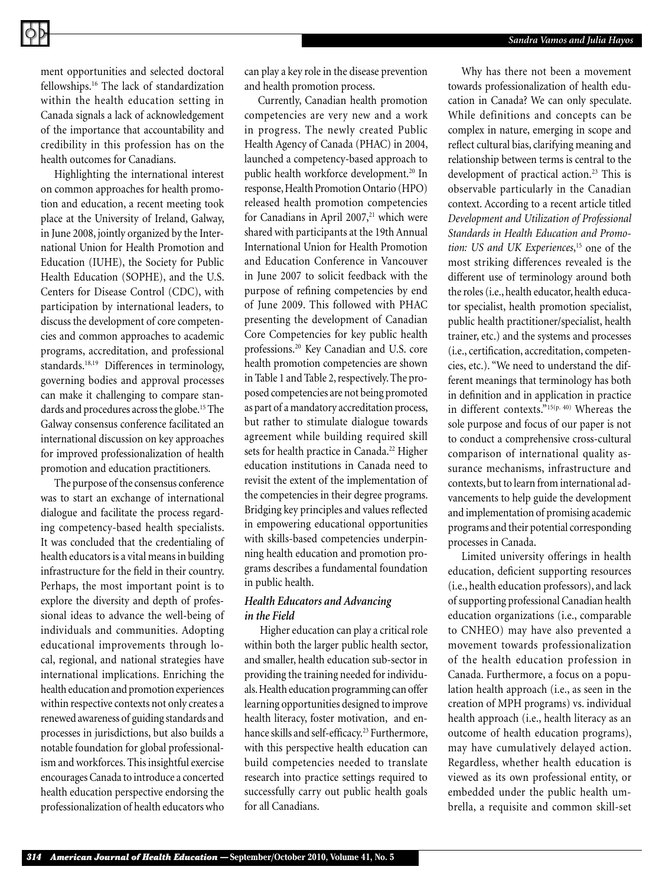ment opportunities and selected doctoral fellowships.16 The lack of standardization within the health education setting in Canada signals a lack of acknowledgement of the importance that accountability and credibility in this profession has on the health outcomes for Canadians.

Highlighting the international interest on common approaches for health promotion and education, a recent meeting took place at the University of Ireland, Galway, in June 2008, jointly organized by the International Union for Health Promotion and Education (IUHE), the Society for Public Health Education (SOPHE), and the U.S. Centers for Disease Control (CDC), with participation by international leaders, to discuss the development of core competencies and common approaches to academic programs, accreditation, and professional standards.<sup>18,19</sup> Differences in terminology, governing bodies and approval processes can make it challenging to compare standards and procedures across the globe.<sup>15</sup> The Galway consensus conference facilitated an international discussion on key approaches for improved professionalization of health promotion and education practitioners.

The purpose of the consensus conference was to start an exchange of international dialogue and facilitate the process regarding competency-based health specialists. It was concluded that the credentialing of health educators is a vital means in building infrastructure for the field in their country. Perhaps, the most important point is to explore the diversity and depth of professional ideas to advance the well-being of individuals and communities. Adopting educational improvements through local, regional, and national strategies have international implications. Enriching the health education and promotion experiences within respective contexts not only creates a renewed awareness of guiding standards and processes in jurisdictions, but also builds a notable foundation for global professionalism and workforces. This insightful exercise encourages Canada to introduce a concerted health education perspective endorsing the professionalization of health educators who

can play a key role in the disease prevention and health promotion process.

Currently, Canadian health promotion competencies are very new and a work in progress. The newly created Public Health Agency of Canada (PHAC) in 2004, launched a competency-based approach to public health workforce development.<sup>20</sup> In response, Health Promotion Ontario (HPO) released health promotion competencies for Canadians in April  $2007$ ,<sup>21</sup> which were shared with participants at the 19th Annual International Union for Health Promotion and Education Conference in Vancouver in June 2007 to solicit feedback with the purpose of refining competencies by end of June 2009. This followed with PHAC presenting the development of Canadian Core Competencies for key public health professions.20 Key Canadian and U.S. core health promotion competencies are shown in Table 1 and Table 2, respectively. The proposed competencies are not being promoted as part of a mandatory accreditation process, but rather to stimulate dialogue towards agreement while building required skill sets for health practice in Canada.<sup>22</sup> Higher education institutions in Canada need to revisit the extent of the implementation of the competencies in their degree programs. bridging key principles and values reflected in empowering educational opportunities with skills-based competencies underpinning health education and promotion programs describes a fundamental foundation in public health.

# *Health Educators and Advancing in the Field*

 Higher education can play a critical role within both the larger public health sector, and smaller, health education sub-sector in providing the training needed for individuals. Health education programming can offer learning opportunities designed to improve health literacy, foster motivation, and enhance skills and self-efficacy.<sup>23</sup> Furthermore, with this perspective health education can build competencies needed to translate research into practice settings required to successfully carry out public health goals for all Canadians.

Why has there not been a movement towards professionalization of health education in Canada? We can only speculate. While definitions and concepts can be complex in nature, emerging in scope and reflect cultural bias, clarifying meaning and relationship between terms is central to the development of practical action.<sup>23</sup> This is observable particularly in the Canadian context. According to a recent article titled *Development and Utilization of Professional Standards in Health Education and Promotion: US and UK Experiences*, 15 one of the most striking differences revealed is the different use of terminology around both the roles (i.e., health educator, health educator specialist, health promotion specialist, public health practitioner/specialist, health trainer, etc.) and the systems and processes (i.e., certification, accreditation, competencies, etc.). "We need to understand the different meanings that terminology has both in definition and in application in practice in different contexts."15(p. 40) Whereas the sole purpose and focus of our paper is not to conduct a comprehensive cross-cultural comparison of international quality assurance mechanisms, infrastructure and contexts, but to learn from international advancements to help guide the development and implementation of promising academic programs and their potential corresponding processes in Canada.

Limited university offerings in health education, deficient supporting resources (i.e., health education professors), and lack of supporting professional Canadian health education organizations (i.e., comparable to CNHEO) may have also prevented a movement towards professionalization of the health education profession in Canada. Furthermore, a focus on a population health approach (i.e., as seen in the creation of MPH programs) vs. individual health approach (i.e., health literacy as an outcome of health education programs), may have cumulatively delayed action. Regardless, whether health education is viewed as its own professional entity, or embedded under the public health umbrella, a requisite and common skill-set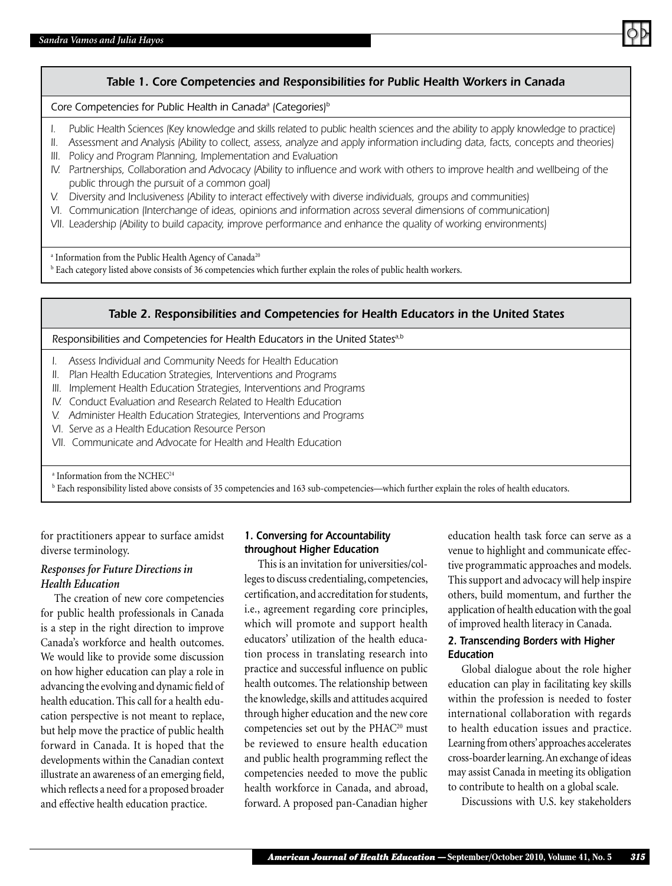

#### *table 1. Core Competencies and responsibilities for public Health Workers in Canada*

*Core Competencies for Public Health in Canadaa (Categories)b*

- I. Public Health Sciences (Key knowledge and skills related to public health sciences and the ability to apply knowledge to practice)
- II. Assessment and Analysis (Ability to collect, assess, analyze and apply information including data, facts, concepts and theories)
- III. Policy and Program Planning, Implementation and Evaluation
- IV. Partnerships, Collaboration and Advocacy (Ability to influence and work with others to improve health and wellbeing of the *public through the pursuit of a common goal)*
- V. Diversity and Inclusiveness (Ability to interact effectively with diverse individuals, groups and communities)
- VI. Communication (Interchange of ideas, opinions and information across several dimensions of communication)
- VII. Leadership (Ability to build capacity, improve performance and enhance the quality of working environments)

<sup>a</sup> Information from the Public Health Agency of Canada<sup>20</sup>

b Each category listed above consists of 36 competencies which further explain the roles of public health workers.

#### *table 2. responsibilities and Competencies for Health Educators in the United states*

*Responsibilities and Competencies for Health Educators in the United Statesa,b*

- I. Assess Individual and Community Needs for Health Education
- II. Plan Health Education Strategies, Interventions and Programs
- III. Implement Health Education Strategies, Interventions and Programs
- IV. Conduct Evaluation and Research Related to Health Education
- V. Administer Health Education Strategies, Interventions and Programs
- VI. Serve as a Health Education Resource Person
- VII. Communicate and Advocate for Health and Health Education

<sup>a</sup> Information from the NCHEC<sup>24</sup>

b Each responsibility listed above consists of 35 competencies and 163 sub-competencies—which further explain the roles of health educators.

for practitioners appear to surface amidst diverse terminology.

# *Responses for Future Directions in Health Education*

The creation of new core competencies for public health professionals in Canada is a step in the right direction to improve Canada's workforce and health outcomes. We would like to provide some discussion on how higher education can play a role in advancing the evolving and dynamic field of health education. This call for a health education perspective is not meant to replace, but help move the practice of public health forward in Canada. It is hoped that the developments within the Canadian context illustrate an awareness of an emerging field, which reflects a need for a proposed broader and effective health education practice.

# *1. Conversing for accountability throughout Higher Education*

This is an invitation for universities/colleges to discuss credentialing, competencies, certification, and accreditation for students, i.e., agreement regarding core principles, which will promote and support health educators' utilization of the health education process in translating research into practice and successful influence on public health outcomes. The relationship between the knowledge, skills and attitudes acquired through higher education and the new core competencies set out by the PHAC<sup>20</sup> must be reviewed to ensure health education and public health programming reflect the competencies needed to move the public health workforce in Canada, and abroad, forward. A proposed pan-Canadian higher

education health task force can serve as a venue to highlight and communicate effective programmatic approaches and models. This support and advocacy will help inspire others, build momentum, and further the application of health education with the goal of improved health literacy in Canada.

## *2. transcending Borders with Higher Education*

Global dialogue about the role higher education can play in facilitating key skills within the profession is needed to foster international collaboration with regards to health education issues and practice. Learning from others' approaches accelerates cross-boarder learning. An exchange of ideas may assist Canada in meeting its obligation to contribute to health on a global scale.

Discussions with U.S. key stakeholders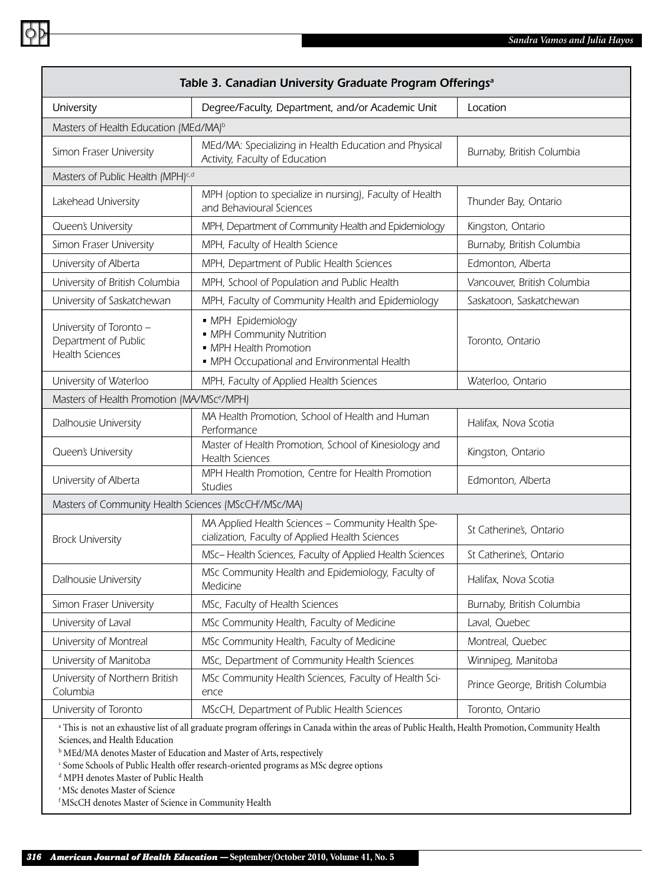| University<br>Degree/Faculty, Department, and/or Academic Unit<br>Location<br>Masters of Health Education (MEd/MA) <sup>b</sup><br>MEd/MA: Specializing in Health Education and Physical<br>Simon Fraser University<br>Burnaby, British Columbia<br>Activity, Faculty of Education<br>Masters of Public Health (MPH) <sup>c,d</sup><br>MPH (option to specialize in nursing), Faculty of Health<br>Lakehead University<br>Thunder Bay, Ontario<br>and Behavioural Sciences<br>Queen's University<br>MPH, Department of Community Health and Epidemiology<br>Kingston, Ontario<br>Simon Fraser University<br>MPH, Faculty of Health Science<br>Burnaby, British Columbia<br>Edmonton, Alberta<br>University of Alberta<br>MPH, Department of Public Health Sciences |
|--------------------------------------------------------------------------------------------------------------------------------------------------------------------------------------------------------------------------------------------------------------------------------------------------------------------------------------------------------------------------------------------------------------------------------------------------------------------------------------------------------------------------------------------------------------------------------------------------------------------------------------------------------------------------------------------------------------------------------------------------------------------|
|                                                                                                                                                                                                                                                                                                                                                                                                                                                                                                                                                                                                                                                                                                                                                                    |
|                                                                                                                                                                                                                                                                                                                                                                                                                                                                                                                                                                                                                                                                                                                                                                    |
|                                                                                                                                                                                                                                                                                                                                                                                                                                                                                                                                                                                                                                                                                                                                                                    |
|                                                                                                                                                                                                                                                                                                                                                                                                                                                                                                                                                                                                                                                                                                                                                                    |
|                                                                                                                                                                                                                                                                                                                                                                                                                                                                                                                                                                                                                                                                                                                                                                    |
|                                                                                                                                                                                                                                                                                                                                                                                                                                                                                                                                                                                                                                                                                                                                                                    |
|                                                                                                                                                                                                                                                                                                                                                                                                                                                                                                                                                                                                                                                                                                                                                                    |
|                                                                                                                                                                                                                                                                                                                                                                                                                                                                                                                                                                                                                                                                                                                                                                    |
| University of British Columbia<br>MPH, School of Population and Public Health<br>Vancouver, British Columbia                                                                                                                                                                                                                                                                                                                                                                                                                                                                                                                                                                                                                                                       |
| University of Saskatchewan<br>MPH, Faculty of Community Health and Epidemiology<br>Saskatoon, Saskatchewan                                                                                                                                                                                                                                                                                                                                                                                                                                                                                                                                                                                                                                                         |
| · MPH Epidemiology<br>University of Toronto -<br>• MPH Community Nutrition<br>Department of Public<br>Toronto, Ontario<br>• MPH Health Promotion<br><b>Health Sciences</b><br>• MPH Occupational and Environmental Health                                                                                                                                                                                                                                                                                                                                                                                                                                                                                                                                          |
| University of Waterloo<br>MPH, Faculty of Applied Health Sciences<br>Waterloo, Ontario                                                                                                                                                                                                                                                                                                                                                                                                                                                                                                                                                                                                                                                                             |
| Masters of Health Promotion (MA/MSce/MPH)                                                                                                                                                                                                                                                                                                                                                                                                                                                                                                                                                                                                                                                                                                                          |
| MA Health Promotion, School of Health and Human<br>Halifax, Nova Scotia<br>Dalhousie University<br>Performance                                                                                                                                                                                                                                                                                                                                                                                                                                                                                                                                                                                                                                                     |
| Master of Health Promotion, School of Kinesiology and<br>Kingston, Ontario<br>Queen's University<br><b>Health Sciences</b>                                                                                                                                                                                                                                                                                                                                                                                                                                                                                                                                                                                                                                         |
| MPH Health Promotion, Centre for Health Promotion<br>Edmonton, Alberta<br>University of Alberta<br><b>Studies</b>                                                                                                                                                                                                                                                                                                                                                                                                                                                                                                                                                                                                                                                  |
| Masters of Community Health Sciences (MScCHf/MSc/MA)                                                                                                                                                                                                                                                                                                                                                                                                                                                                                                                                                                                                                                                                                                               |
| MA Applied Health Sciences - Community Health Spe-<br>St Catherine's, Ontario<br>cialization, Faculty of Applied Health Sciences<br><b>Brock University</b>                                                                                                                                                                                                                                                                                                                                                                                                                                                                                                                                                                                                        |
| MSc-Health Sciences, Faculty of Applied Health Sciences<br>St Catherine's, Ontario                                                                                                                                                                                                                                                                                                                                                                                                                                                                                                                                                                                                                                                                                 |
| MSc Community Health and Epidemiology, Faculty of<br>Dalhousie University<br>Halifax, Nova Scotia<br>Medicine                                                                                                                                                                                                                                                                                                                                                                                                                                                                                                                                                                                                                                                      |
| Simon Fraser University<br>MSc, Faculty of Health Sciences<br>Burnaby, British Columbia                                                                                                                                                                                                                                                                                                                                                                                                                                                                                                                                                                                                                                                                            |
| MSc Community Health, Faculty of Medicine<br>University of Laval<br>Laval, Quebec                                                                                                                                                                                                                                                                                                                                                                                                                                                                                                                                                                                                                                                                                  |
| MSc Community Health, Faculty of Medicine<br>University of Montreal<br>Montreal, Quebec                                                                                                                                                                                                                                                                                                                                                                                                                                                                                                                                                                                                                                                                            |
| University of Manitoba<br>MSc, Department of Community Health Sciences<br>Winnipeg, Manitoba                                                                                                                                                                                                                                                                                                                                                                                                                                                                                                                                                                                                                                                                       |
| University of Northern British<br>MSc Community Health Sciences, Faculty of Health Sci-<br>Prince George, British Columbia<br>Columbia<br>ence                                                                                                                                                                                                                                                                                                                                                                                                                                                                                                                                                                                                                     |
| University of Toronto<br>MScCH, Department of Public Health Sciences<br>Toronto, Ontario                                                                                                                                                                                                                                                                                                                                                                                                                                                                                                                                                                                                                                                                           |

a This is not an exhaustive list of all graduate program offerings in Canada within the areas of Public Health, Health Promotion, Community Health Sciences, and Health Education

b MEd/MA denotes Master of Education and Master of Arts, respectively

c Some Schools of Public Health offer research-oriented programs as MSc degree options

d MPH denotes Master of Public Health

e MSc denotes Master of Science

**fMScCH** denotes Master of Science in Community Health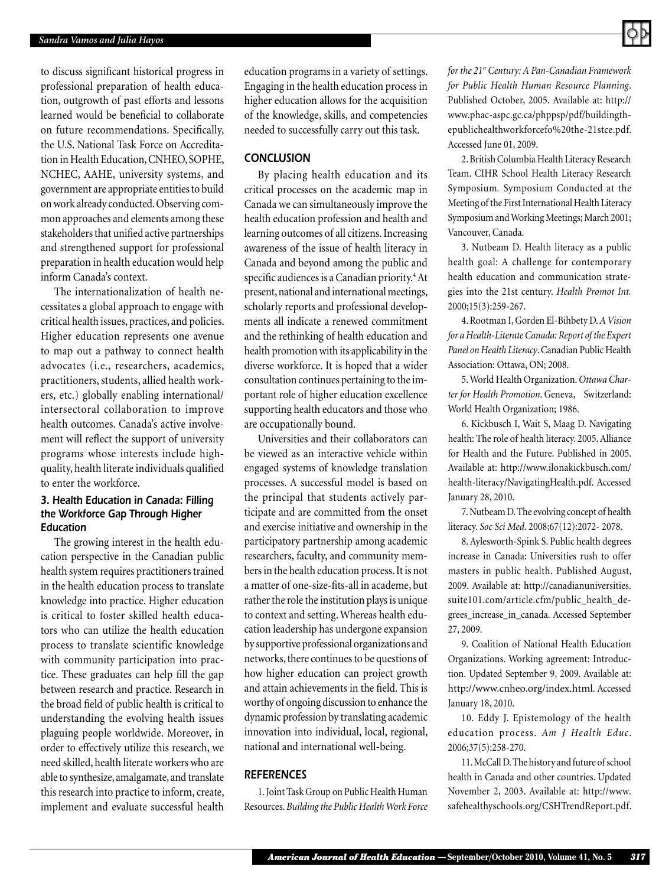to discuss significant historical progress in professional preparation of health education, outgrowth of past efforts and lessons learned would be beneficial to collaborate on future recommendations. Specifically, the U.S. National Task Force on Accreditation in Health Education, CNHEO, SOPHE, NCHEC, AAHE, university systems, and government are appropriate entities to build on work already conducted. Observing common approaches and elements among these stakeholders that unified active partnerships and strengthened support for professional preparation in health education would help inform Canada's context.

The internationalization of health necessitates a global approach to engage with critical health issues, practices, and policies. Higher education represents one avenue to map out a pathway to connect health advocates (i.e., researchers, academics, practitioners, students, allied health workers, etc.) globally enabling international/ intersectoral collaboration to improve health outcomes. Canada's active involvement will reflect the support of university programs whose interests include highquality, health literate individuals qualified to enter the workforce.

## *3. Health Education in Canada: filling the Workforce gap through Higher Education*

The growing interest in the health education perspective in the Canadian public health system requires practitioners trained in the health education process to translate knowledge into practice. Higher education is critical to foster skilled health educators who can utilize the health education process to translate scientific knowledge with community participation into practice. These graduates can help fill the gap between research and practice. Research in the broad field of public health is critical to understanding the evolving health issues plaguing people worldwide. Moreover, in order to effectively utilize this research, we need skilled, health literate workers who are able to synthesize, amalgamate, and translate this research into practice to inform, create, implement and evaluate successful health

education programs in a variety of settings. Engaging in the health education process in higher education allows for the acquisition of the knowledge, skills, and competencies needed to successfully carry out this task.

#### *ConCLUsion*

by placing health education and its critical processes on the academic map in Canada we can simultaneously improve the health education profession and health and learning outcomes of all citizens. Increasing awareness of the issue of health literacy in Canada and beyond among the public and specific audiences is a Canadian priority.<sup>4</sup> At present, national and international meetings, scholarly reports and professional developments all indicate a renewed commitment and the rethinking of health education and health promotion with its applicability in the diverse workforce. It is hoped that a wider consultation continues pertaining to the important role of higher education excellence supporting health educators and those who are occupationally bound.

Universities and their collaborators can be viewed as an interactive vehicle within engaged systems of knowledge translation processes. A successful model is based on the principal that students actively participate and are committed from the onset and exercise initiative and ownership in the participatory partnership among academic researchers, faculty, and community members in the health education process. It is not a matter of one-size-fits-all in academe, but rather the role the institution plays is unique to context and setting. Whereas health education leadership has undergone expansion by supportive professional organizations and networks, there continues to be questions of how higher education can project growth and attain achievements in the field. This is worthy of ongoing discussion to enhance the dynamic profession by translating academic innovation into individual, local, regional, national and international well-being.

## *rEfErEnCEs*

1. Joint Task Group on Public Health Human Resources. *Building the Public Health Work Force*  *for the 21st Century: A Pan-Canadian Framework for Public Health Human Resource Planning*. Published October, 2005. Available at: http:// www.phac-aspc.gc.ca/phppsp/pdf/buildingthepublichealthworkforcefo%20the-21stce.pdf. Accessed June 01, 2009.

2. british Columbia Health Literacy Research Team. CIHR School Health Literacy Research Symposium*.* Symposium Conducted at the Meeting of the First International Health Literacy Symposium and Working Meetings; March 2001; Vancouver, Canada.

3. Nutbeam D. Health literacy as a public health goal: A challenge for contemporary health education and communication strategies into the 21st century. *Health Promot Int.*  2000;15(3):259-267.

4. Rootman I, Gorden El-bihbety D. *A Vision for a Health-Literate Canada: Report of the Expert Panel on Health Literacy*. Canadian Public Health Association: Ottawa, ON; 2008.

5. World Health Organization. *Ottawa Charter for Health Promotion*. Geneva, Switzerland: World Health Organization; 1986.

6. Kickbusch I, Wait S, Maag D. Navigating health: The role of health literacy. 2005. Alliance for Health and the Future. Published in 2005. Available at: http://www.ilonakickbusch.com/ health-literacy/NavigatingHealth.pdf. Accessed January 28, 2010.

7. Nutbeam D. The evolving concept of health literacy. *Soc Sci Med*. 2008;67(12):2072- 2078.

8. Aylesworth-Spink S. Public health degrees increase in Canada: Universities rush to offer masters in public health. Published August, 2009. Available at: http://canadianuniversities. suite101.com/article.cfm/public\_health\_degrees\_increase\_in\_canada. Accessed September 27, 2009.

9. Coalition of National Health Education Organizations. Working agreement: Introduction. Updated September 9, 2009. Available at: http://www.cnheo.org/index.html. Accessed January 18, 2010.

10. Eddy J. Epistemology of the health education process. *Am J Health Educ*. 2006;37(5):258-270.

11. McCall D. The history and future of school health in Canada and other countries. Updated November 2, 2003. Available at: http://www. safehealthyschools.org/CSHTrendReport.pdf.